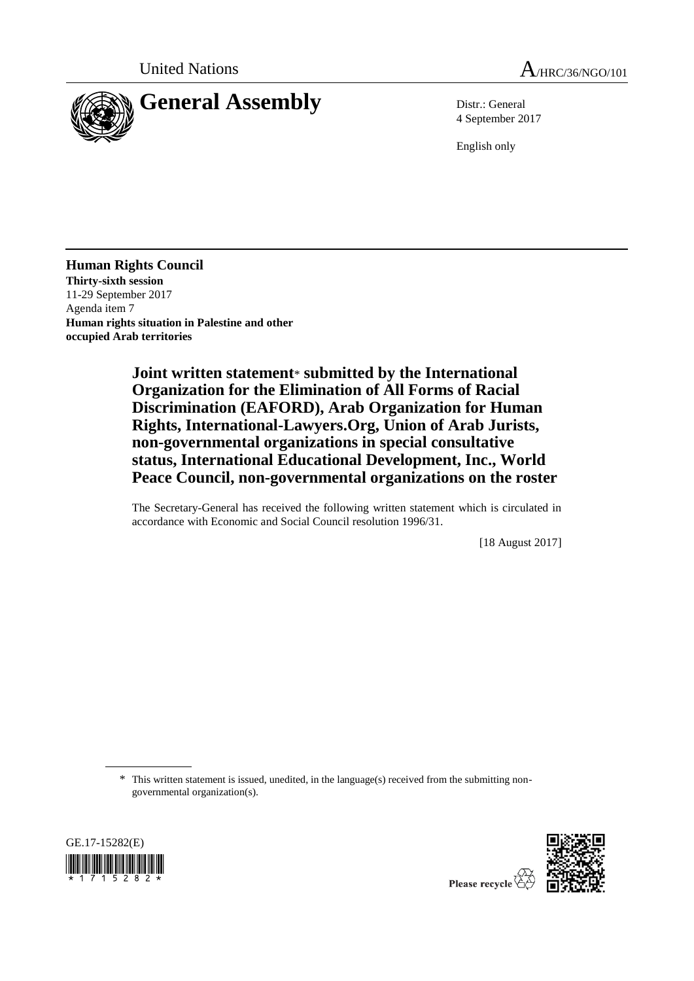

4 September 2017

English only

**Human Rights Council Thirty-sixth session** 11-29 September 2017 Agenda item 7 **Human rights situation in Palestine and other occupied Arab territories**

> **Joint written statement**\* **submitted by the International Organization for the Elimination of All Forms of Racial Discrimination (EAFORD), Arab Organization for Human Rights, International-Lawyers.Org, Union of Arab Jurists, non-governmental organizations in special consultative status, International Educational Development, Inc., World Peace Council, non-governmental organizations on the roster**

> The Secretary-General has received the following written statement which is circulated in accordance with Economic and Social Council resolution 1996/31.

> > [18 August 2017]

\* This written statement is issued, unedited, in the language(s) received from the submitting nongovernmental organization(s).





Please recycle  $\overleftrightarrow{C}$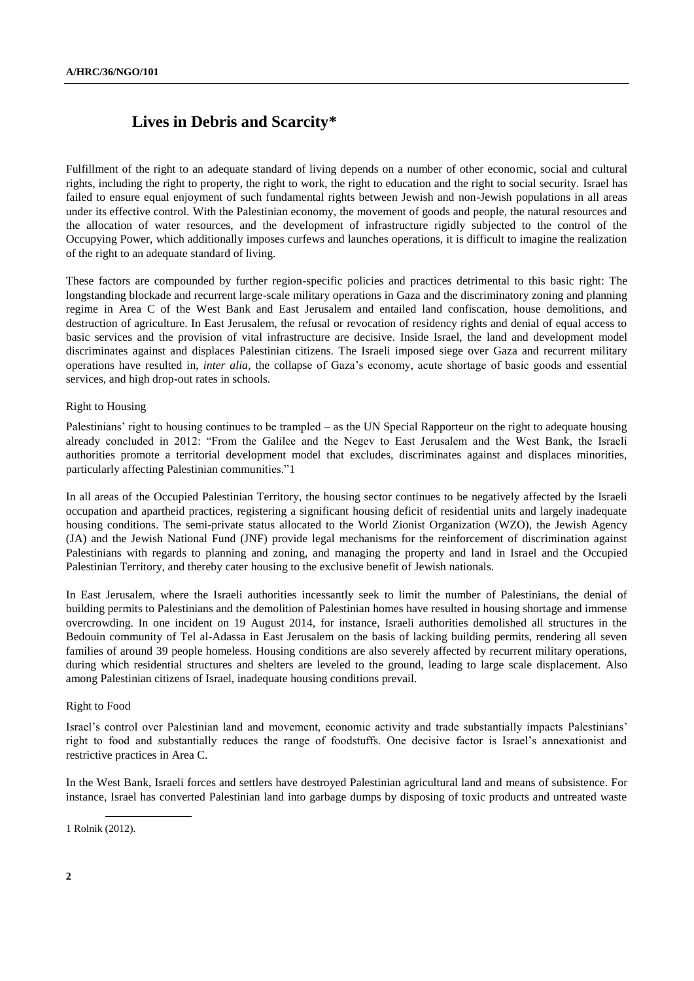# **Lives in Debris and Scarcity\***

Fulfillment of the right to an adequate standard of living depends on a number of other economic, social and cultural rights, including the right to property, the right to work, the right to education and the right to social security. Israel has failed to ensure equal enjoyment of such fundamental rights between Jewish and non-Jewish populations in all areas under its effective control. With the Palestinian economy, the movement of goods and people, the natural resources and the allocation of water resources, and the development of infrastructure rigidly subjected to the control of the Occupying Power, which additionally imposes curfews and launches operations, it is difficult to imagine the realization of the right to an adequate standard of living.

These factors are compounded by further region-specific policies and practices detrimental to this basic right: The longstanding blockade and recurrent large-scale military operations in Gaza and the discriminatory zoning and planning regime in Area C of the West Bank and East Jerusalem and entailed land confiscation, house demolitions, and destruction of agriculture. In East Jerusalem, the refusal or revocation of residency rights and denial of equal access to basic services and the provision of vital infrastructure are decisive. Inside Israel, the land and development model discriminates against and displaces Palestinian citizens. The Israeli imposed siege over Gaza and recurrent military operations have resulted in, *inter alia*, the collapse of Gaza's economy, acute shortage of basic goods and essential services, and high drop-out rates in schools.

# Right to Housing

Palestinians' right to housing continues to be trampled – as the UN Special Rapporteur on the right to adequate housing already concluded in 2012: "From the Galilee and the Negev to East Jerusalem and the West Bank, the Israeli authorities promote a territorial development model that excludes, discriminates against and displaces minorities, particularly affecting Palestinian communities."1

In all areas of the Occupied Palestinian Territory, the housing sector continues to be negatively affected by the Israeli occupation and apartheid practices, registering a significant housing deficit of residential units and largely inadequate housing conditions. The semi-private status allocated to the World Zionist Organization (WZO), the Jewish Agency (JA) and the Jewish National Fund (JNF) provide legal mechanisms for the reinforcement of discrimination against Palestinians with regards to planning and zoning, and managing the property and land in Israel and the Occupied Palestinian Territory, and thereby cater housing to the exclusive benefit of Jewish nationals.

In East Jerusalem, where the Israeli authorities incessantly seek to limit the number of Palestinians, the denial of building permits to Palestinians and the demolition of Palestinian homes have resulted in housing shortage and immense overcrowding. In one incident on 19 August 2014, for instance, Israeli authorities demolished all structures in the Bedouin community of Tel al-Adassa in East Jerusalem on the basis of lacking building permits, rendering all seven families of around 39 people homeless. Housing conditions are also severely affected by recurrent military operations, during which residential structures and shelters are leveled to the ground, leading to large scale displacement. Also among Palestinian citizens of Israel, inadequate housing conditions prevail.

#### Right to Food

Israel's control over Palestinian land and movement, economic activity and trade substantially impacts Palestinians' right to food and substantially reduces the range of foodstuffs. One decisive factor is Israel's annexationist and restrictive practices in Area C.

In the West Bank, Israeli forces and settlers have destroyed Palestinian agricultural land and means of subsistence. For instance, Israel has converted Palestinian land into garbage dumps by disposing of toxic products and untreated waste

1 Rolnik (2012).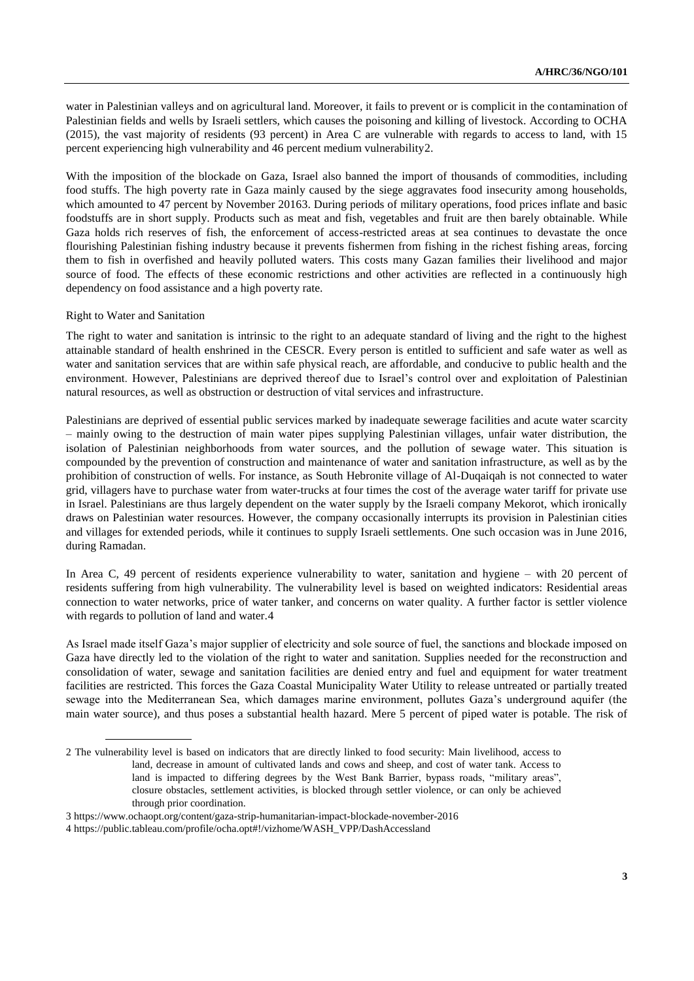water in Palestinian valleys and on agricultural land. Moreover, it fails to prevent or is complicit in the contamination of Palestinian fields and wells by Israeli settlers, which causes the poisoning and killing of livestock. According to OCHA (2015), the vast majority of residents (93 percent) in Area C are vulnerable with regards to access to land, with 15 percent experiencing high vulnerability and 46 percent medium vulnerability2.

With the imposition of the blockade on Gaza, Israel also banned the import of thousands of commodities, including food stuffs. The high poverty rate in Gaza mainly caused by the siege aggravates food insecurity among households, which amounted to 47 percent by November 20163. During periods of military operations, food prices inflate and basic foodstuffs are in short supply. Products such as meat and fish, vegetables and fruit are then barely obtainable. While Gaza holds rich reserves of fish, the enforcement of access-restricted areas at sea continues to devastate the once flourishing Palestinian fishing industry because it prevents fishermen from fishing in the richest fishing areas, forcing them to fish in overfished and heavily polluted waters. This costs many Gazan families their livelihood and major source of food. The effects of these economic restrictions and other activities are reflected in a continuously high dependency on food assistance and a high poverty rate.

# Right to Water and Sanitation

The right to water and sanitation is intrinsic to the right to an adequate standard of living and the right to the highest attainable standard of health enshrined in the CESCR. Every person is entitled to sufficient and safe water as well as water and sanitation services that are within safe physical reach, are affordable, and conducive to public health and the environment. However, Palestinians are deprived thereof due to Israel's control over and exploitation of Palestinian natural resources, as well as obstruction or destruction of vital services and infrastructure.

Palestinians are deprived of essential public services marked by inadequate sewerage facilities and acute water scarcity – mainly owing to the destruction of main water pipes supplying Palestinian villages, unfair water distribution, the isolation of Palestinian neighborhoods from water sources, and the pollution of sewage water. This situation is compounded by the prevention of construction and maintenance of water and sanitation infrastructure, as well as by the prohibition of construction of wells. For instance, as South Hebronite village of Al-Duqaiqah is not connected to water grid, villagers have to purchase water from water-trucks at four times the cost of the average water tariff for private use in Israel. Palestinians are thus largely dependent on the water supply by the Israeli company Mekorot, which ironically draws on Palestinian water resources. However, the company occasionally interrupts its provision in Palestinian cities and villages for extended periods, while it continues to supply Israeli settlements. One such occasion was in June 2016, during Ramadan.

In Area C, 49 percent of residents experience vulnerability to water, sanitation and hygiene – with 20 percent of residents suffering from high vulnerability. The vulnerability level is based on weighted indicators: Residential areas connection to water networks, price of water tanker, and concerns on water quality. A further factor is settler violence with regards to pollution of land and water.4

As Israel made itself Gaza's major supplier of electricity and sole source of fuel, the sanctions and blockade imposed on Gaza have directly led to the violation of the right to water and sanitation. Supplies needed for the reconstruction and consolidation of water, sewage and sanitation facilities are denied entry and fuel and equipment for water treatment facilities are restricted. This forces the Gaza Coastal Municipality Water Utility to release untreated or partially treated sewage into the Mediterranean Sea, which damages marine environment, pollutes Gaza's underground aquifer (the main water source), and thus poses a substantial health hazard. Mere 5 percent of piped water is potable. The risk of

<sup>2</sup> The vulnerability level is based on indicators that are directly linked to food security: Main livelihood, access to land, decrease in amount of cultivated lands and cows and sheep, and cost of water tank. Access to land is impacted to differing degrees by the West Bank Barrier, bypass roads, "military areas", closure obstacles, settlement activities, is blocked through settler violence, or can only be achieved through prior coordination.

<sup>3</sup> https://www.ochaopt.org/content/gaza-strip-humanitarian-impact-blockade-november-2016

<sup>4</sup> https://public.tableau.com/profile/ocha.opt#!/vizhome/WASH\_VPP/DashAccessland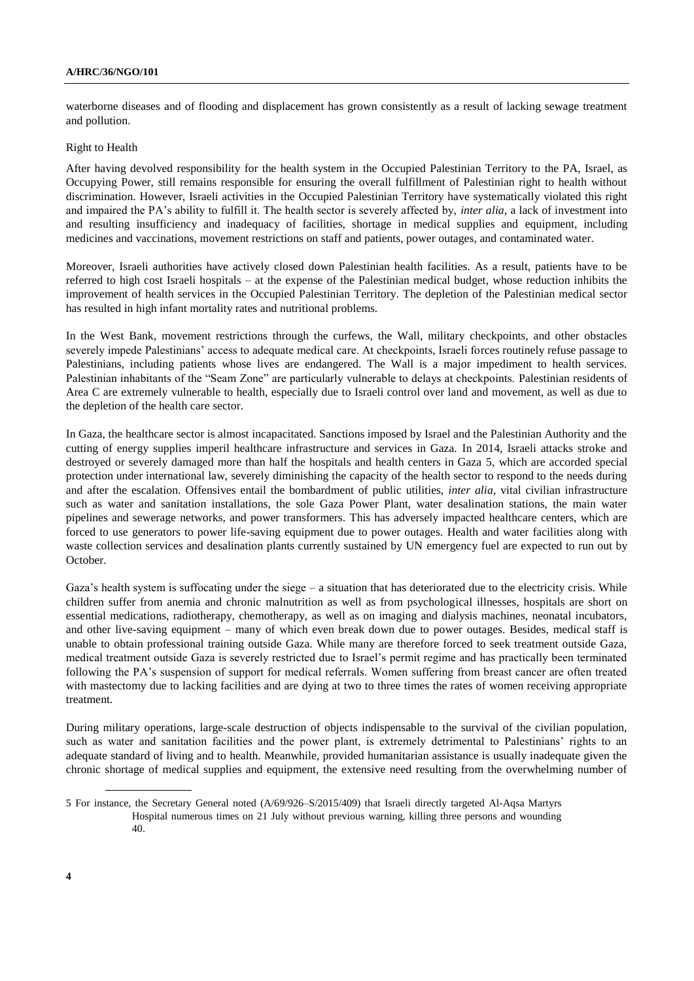#### **A/HRC/36/NGO/101**

waterborne diseases and of flooding and displacement has grown consistently as a result of lacking sewage treatment and pollution.

# Right to Health

After having devolved responsibility for the health system in the Occupied Palestinian Territory to the PA, Israel, as Occupying Power, still remains responsible for ensuring the overall fulfillment of Palestinian right to health without discrimination. However, Israeli activities in the Occupied Palestinian Territory have systematically violated this right and impaired the PA's ability to fulfill it. The health sector is severely affected by, *inter alia*, a lack of investment into and resulting insufficiency and inadequacy of facilities, shortage in medical supplies and equipment, including medicines and vaccinations, movement restrictions on staff and patients, power outages, and contaminated water.

Moreover, Israeli authorities have actively closed down Palestinian health facilities. As a result, patients have to be referred to high cost Israeli hospitals – at the expense of the Palestinian medical budget, whose reduction inhibits the improvement of health services in the Occupied Palestinian Territory. The depletion of the Palestinian medical sector has resulted in high infant mortality rates and nutritional problems.

In the West Bank, movement restrictions through the curfews, the Wall, military checkpoints, and other obstacles severely impede Palestinians' access to adequate medical care. At checkpoints, Israeli forces routinely refuse passage to Palestinians, including patients whose lives are endangered. The Wall is a major impediment to health services. Palestinian inhabitants of the "Seam Zone" are particularly vulnerable to delays at checkpoints. Palestinian residents of Area C are extremely vulnerable to health, especially due to Israeli control over land and movement, as well as due to the depletion of the health care sector.

In Gaza, the healthcare sector is almost incapacitated. Sanctions imposed by Israel and the Palestinian Authority and the cutting of energy supplies imperil healthcare infrastructure and services in Gaza. In 2014, Israeli attacks stroke and destroyed or severely damaged more than half the hospitals and health centers in Gaza 5, which are accorded special protection under international law, severely diminishing the capacity of the health sector to respond to the needs during and after the escalation. Offensives entail the bombardment of public utilities, *inter alia*, vital civilian infrastructure such as water and sanitation installations, the sole Gaza Power Plant, water desalination stations, the main water pipelines and sewerage networks, and power transformers. This has adversely impacted healthcare centers, which are forced to use generators to power life-saving equipment due to power outages. Health and water facilities along with waste collection services and desalination plants currently sustained by UN emergency fuel are expected to run out by October.

Gaza's health system is suffocating under the siege  $-$  a situation that has deteriorated due to the electricity crisis. While children suffer from anemia and chronic malnutrition as well as from psychological illnesses, hospitals are short on essential medications, radiotherapy, chemotherapy, as well as on imaging and dialysis machines, neonatal incubators, and other live-saving equipment – many of which even break down due to power outages. Besides, medical staff is unable to obtain professional training outside Gaza. While many are therefore forced to seek treatment outside Gaza, medical treatment outside Gaza is severely restricted due to Israel's permit regime and has practically been terminated following the PA's suspension of support for medical referrals. Women suffering from breast cancer are often treated with mastectomy due to lacking facilities and are dying at two to three times the rates of women receiving appropriate treatment.

During military operations, large-scale destruction of objects indispensable to the survival of the civilian population, such as water and sanitation facilities and the power plant, is extremely detrimental to Palestinians' rights to an adequate standard of living and to health. Meanwhile, provided humanitarian assistance is usually inadequate given the chronic shortage of medical supplies and equipment, the extensive need resulting from the overwhelming number of

<sup>5</sup> For instance, the Secretary General noted (A/69/926–S/2015/409) that Israeli directly targeted Al-Aqsa Martyrs Hospital numerous times on 21 July without previous warning, killing three persons and wounding 40.